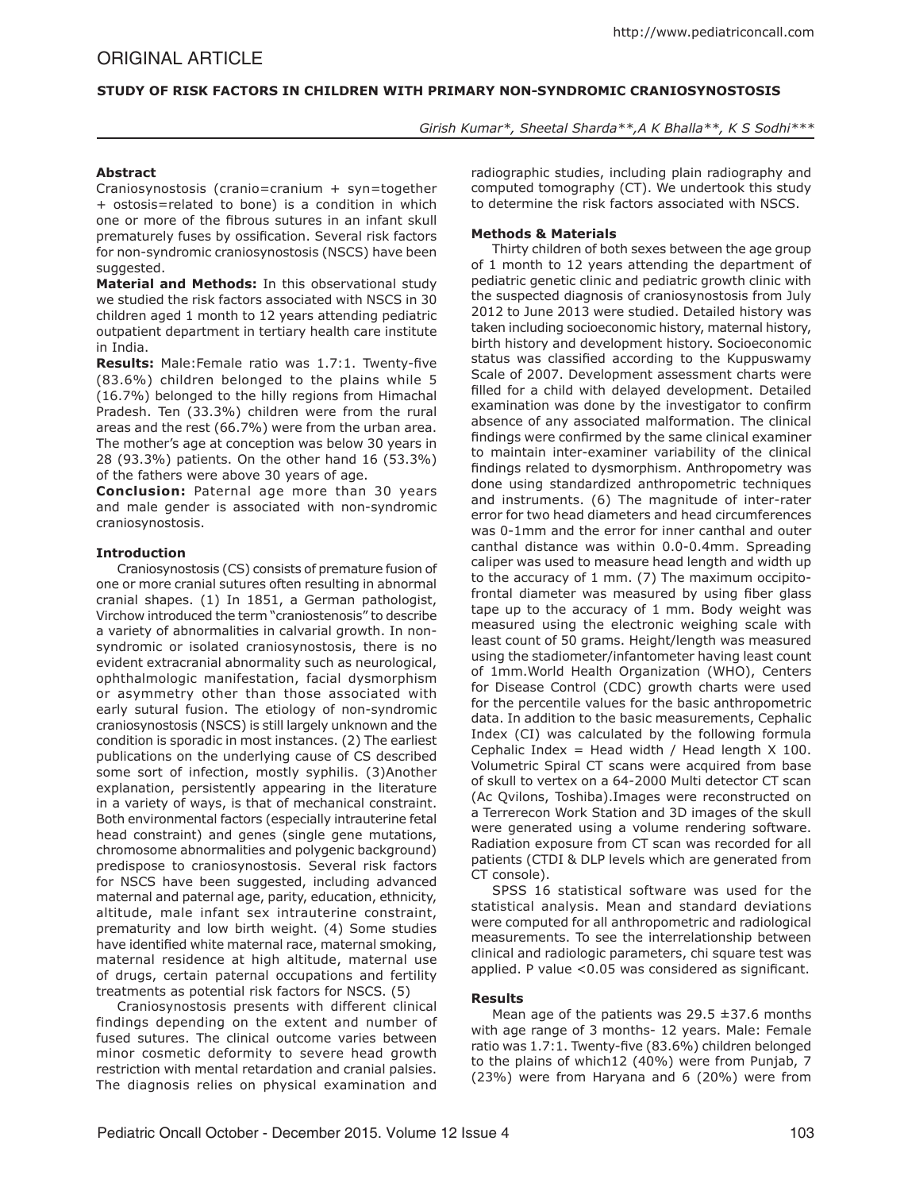# **Study of Risk Factors in Children with Primary Non-Syndromic Craniosynostosis**

*Girish Kumar\*, Sheetal Sharda\*\*,A K Bhalla\*\*, K S Sodhi\*\*\**

## **Abstract**

Craniosynostosis (cranio=cranium + syn=together + ostosis=related to bone) is a condition in which one or more of the fibrous sutures in an infant skull prematurely fuses by ossification. Several risk factors for non-syndromic craniosynostosis (NSCS) have been suggested.

**Material and Methods:** In this observational study we studied the risk factors associated with NSCS in 30 children aged 1 month to 12 years attending pediatric outpatient department in tertiary health care institute in India.

**Results:** Male:Female ratio was 1.7:1. Twenty-five (83.6%) children belonged to the plains while 5 (16.7%) belonged to the hilly regions from Himachal Pradesh. Ten (33.3%) children were from the rural areas and the rest (66.7%) were from the urban area. The mother's age at conception was below 30 years in 28 (93.3%) patients. On the other hand 16 (53.3%) of the fathers were above 30 years of age.

**Conclusion:** Paternal age more than 30 years and male gender is associated with non-syndromic craniosynostosis.

## **Introduction**

Craniosynostosis (CS) consists of premature fusion of one or more cranial sutures often resulting in abnormal cranial shapes. (1) In 1851, a German pathologist, Virchow introduced the term "craniostenosis" to describe a variety of abnormalities in calvarial growth. In nonsyndromic or isolated craniosynostosis, there is no evident extracranial abnormality such as neurological, ophthalmologic manifestation, facial dysmorphism or asymmetry other than those associated with early sutural fusion. The etiology of non-syndromic craniosynostosis (NSCS) is still largely unknown and the condition is sporadic in most instances. (2) The earliest publications on the underlying cause of CS described some sort of infection, mostly syphilis. (3)Another explanation, persistently appearing in the literature in a variety of ways, is that of mechanical constraint. Both environmental factors (especially intrauterine fetal head constraint) and genes (single gene mutations, chromosome abnormalities and polygenic background) predispose to craniosynostosis. Several risk factors for NSCS have been suggested, including advanced maternal and paternal age, parity, education, ethnicity, altitude, male infant sex intrauterine constraint, prematurity and low birth weight. (4) Some studies have identified white maternal race, maternal smoking, maternal residence at high altitude, maternal use of drugs, certain paternal occupations and fertility treatments as potential risk factors for NSCS. (5)

Craniosynostosis presents with different clinical findings depending on the extent and number of fused sutures. The clinical outcome varies between minor cosmetic deformity to severe head growth restriction with mental retardation and cranial palsies. The diagnosis relies on physical examination and

radiographic studies, including plain radiography and computed tomography (CT). We undertook this study to determine the risk factors associated with NSCS.

# **Methods & Materials**

Thirty children of both sexes between the age group of 1 month to 12 years attending the department of pediatric genetic clinic and pediatric growth clinic with the suspected diagnosis of craniosynostosis from July 2012 to June 2013 were studied. Detailed history was taken including socioeconomic history, maternal history, birth history and development history. Socioeconomic status was classified according to the Kuppuswamy Scale of 2007. Development assessment charts were filled for a child with delayed development. Detailed examination was done by the investigator to confirm absence of any associated malformation. The clinical findings were confirmed by the same clinical examiner to maintain inter-examiner variability of the clinical findings related to dysmorphism. Anthropometry was done using standardized anthropometric techniques and instruments. (6) The magnitude of inter-rater error for two head diameters and head circumferences was 0-1mm and the error for inner canthal and outer canthal distance was within 0.0-0.4mm. Spreading caliper was used to measure head length and width up to the accuracy of 1 mm. (7) The maximum occipitofrontal diameter was measured by using fiber glass tape up to the accuracy of 1 mm. Body weight was measured using the electronic weighing scale with least count of 50 grams. Height/length was measured using the stadiometer/infantometer having least count of 1mm.World Health Organization (WHO), Centers for Disease Control (CDC) growth charts were used for the percentile values for the basic anthropometric data. In addition to the basic measurements, Cephalic Index (CI) was calculated by the following formula Cephalic Index = Head width / Head length  $X$  100. Volumetric Spiral CT scans were acquired from base of skull to vertex on a 64-2000 Multi detector CT scan (Ac Qvilons, Toshiba).Images were reconstructed on a Terrerecon Work Station and 3D images of the skull were generated using a volume rendering software. Radiation exposure from CT scan was recorded for all patients (CTDI & DLP levels which are generated from CT console).

SPSS 16 statistical software was used for the statistical analysis. Mean and standard deviations were computed for all anthropometric and radiological measurements. To see the interrelationship between clinical and radiologic parameters, chi square test was applied. P value  $< 0.05$  was considered as significant.

## **Results**

Mean age of the patients was  $29.5 \pm 37.6$  months with age range of 3 months- 12 years. Male: Female ratio was 1.7:1. Twenty-five (83.6%) children belonged to the plains of which12 (40%) were from Punjab, 7 (23%) were from Haryana and 6 (20%) were from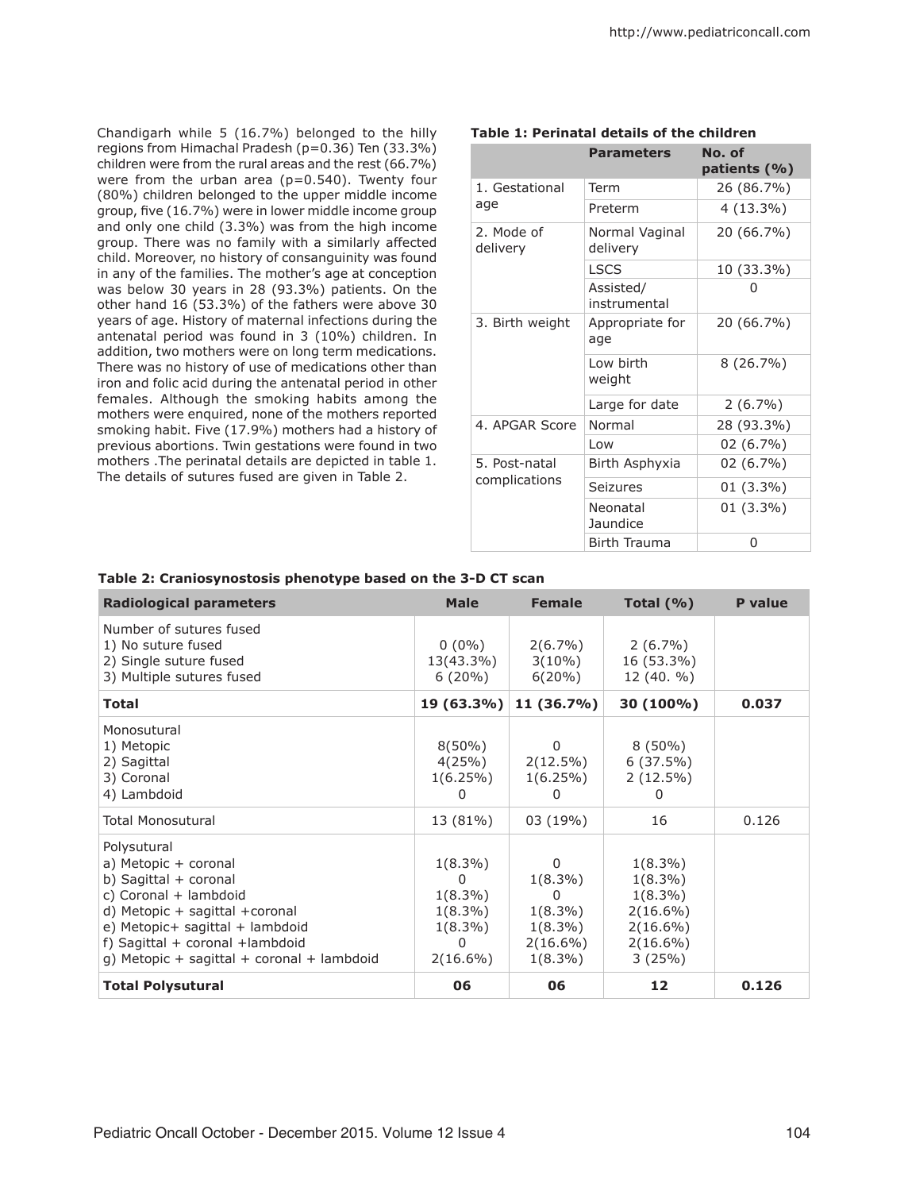Chandigarh while 5 (16.7%) belonged to the hilly regions from Himachal Pradesh (p=0.36) Ten (33.3%) children were from the rural areas and the rest (66.7%) were from the urban area ( $p=0.540$ ). Twenty four (80%) children belonged to the upper middle income group, five (16.7%) were in lower middle income group and only one child (3.3%) was from the high income group. There was no family with a similarly affected child. Moreover, no history of consanguinity was found in any of the families. The mother's age at conception was below 30 years in 28 (93.3%) patients. On the other hand 16 (53.3%) of the fathers were above 30 years of age. History of maternal infections during the antenatal period was found in 3 (10%) children. In addition, two mothers were on long term medications. There was no history of use of medications other than iron and folic acid during the antenatal period in other females. Although the smoking habits among the mothers were enquired, none of the mothers reported smoking habit. Five (17.9%) mothers had a history of previous abortions. Twin gestations were found in two mothers .The perinatal details are depicted in table 1. The details of sutures fused are given in Table 2.

|                                | <b>Parameters</b>          | No. of<br>patients (%) |
|--------------------------------|----------------------------|------------------------|
| 1. Gestational<br>age          | Term                       | 26 (86.7%)             |
|                                | Preterm                    | $4(13.3\%)$            |
| 2. Mode of<br>delivery         | Normal Vaginal<br>delivery | 20 (66.7%)             |
|                                | <b>LSCS</b>                | 10 (33.3%)             |
|                                | Assisted/<br>instrumental  | O                      |
| 3. Birth weight                | Appropriate for<br>age     | 20 (66.7%)             |
|                                | Low birth<br>weight        | $8(26.7\%)$            |
|                                | Large for date             | $2(6.7\%)$             |
| 4. APGAR Score                 | Normal                     | 28 (93.3%)             |
|                                | Low                        | 02 (6.7%)              |
| 5. Post-natal<br>complications | Birth Asphyxia             | 02 (6.7%)              |
|                                | Seizures                   | 01 (3.3%)              |
|                                | Neonatal<br>Jaundice       | 01 (3.3%)              |
|                                | <b>Birth Trauma</b>        | 0                      |

# **Table 1: Perinatal details of the children**

#### **Table 2: Craniosynostosis phenotype based on the 3-D CT scan**

| <b>Radiological parameters</b>                                                                                                                                                                                                                   | <b>Male</b>                                                                              | <b>Female</b>                                                                        | Total $(\% )$                                                                                 | <b>P</b> value |
|--------------------------------------------------------------------------------------------------------------------------------------------------------------------------------------------------------------------------------------------------|------------------------------------------------------------------------------------------|--------------------------------------------------------------------------------------|-----------------------------------------------------------------------------------------------|----------------|
| Number of sutures fused<br>1) No suture fused<br>2) Single suture fused<br>3) Multiple sutures fused                                                                                                                                             | $0(0\%)$<br>13(43.3%)<br>$6(20\%)$                                                       | $2(6.7\%)$<br>$3(10\%)$<br>$6(20\%)$                                                 | $2(6.7\%)$<br>16 (53.3%)<br>12(40. %)                                                         |                |
| <b>Total</b>                                                                                                                                                                                                                                     | 19 (63.3%)                                                                               | 11 (36.7%)                                                                           | 30 (100%)                                                                                     | 0.037          |
| Monosutural<br>1) Metopic<br>2) Sagittal<br>3) Coronal<br>4) Lambdoid                                                                                                                                                                            | $8(50\%)$<br>4(25%)<br>$1(6.25\%)$<br>0                                                  | 0<br>$2(12.5\%)$<br>$1(6.25\%)$<br>0                                                 | $8(50\%)$<br>6(37.5%)<br>$2(12.5\%)$<br>0                                                     |                |
| <b>Total Monosutural</b>                                                                                                                                                                                                                         | 13 (81%)                                                                                 | 03 (19%)                                                                             | 16                                                                                            | 0.126          |
| Polysutural<br>a) Metopic + coronal<br>b) Sagittal + coronal<br>c) Coronal + lambdoid<br>d) Metopic $+$ sagittal $+$ coronal<br>e) Metopic+ sagittal + lambdoid<br>f) Sagittal + coronal +lambdoid<br>g) Metopic + sagittal + coronal + lambdoid | $1(8.3\%)$<br><sup>0</sup><br>$1(8.3\%)$<br>$1(8.3\%)$<br>$1(8.3\%)$<br>0<br>$2(16.6\%)$ | $\Omega$<br>$1(8.3\%)$<br>0<br>$1(8.3\%)$<br>$1(8.3\%)$<br>$2(16.6\%)$<br>$1(8.3\%)$ | $1(8.3\%)$<br>$1(8.3\%)$<br>$1(8.3\%)$<br>$2(16.6\%)$<br>$2(16.6\%)$<br>$2(16.6\%)$<br>3(25%) |                |
| <b>Total Polysutural</b>                                                                                                                                                                                                                         | 06                                                                                       | 06                                                                                   | 12                                                                                            | 0.126          |